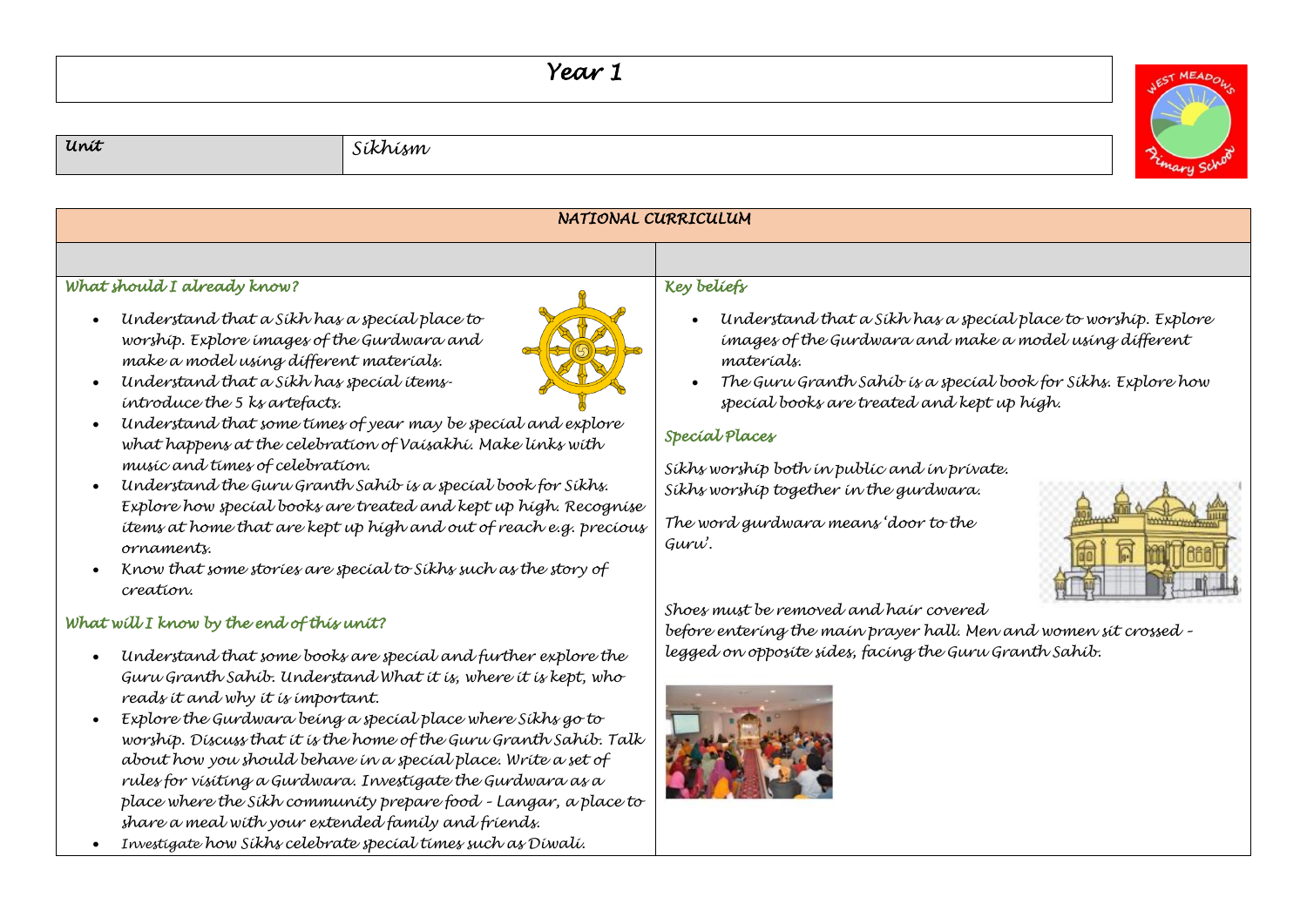## *Year 1*





• *Investigate how Sikhs celebrate special times such as Diwali.*

*share a meal with your extended family and friends.*